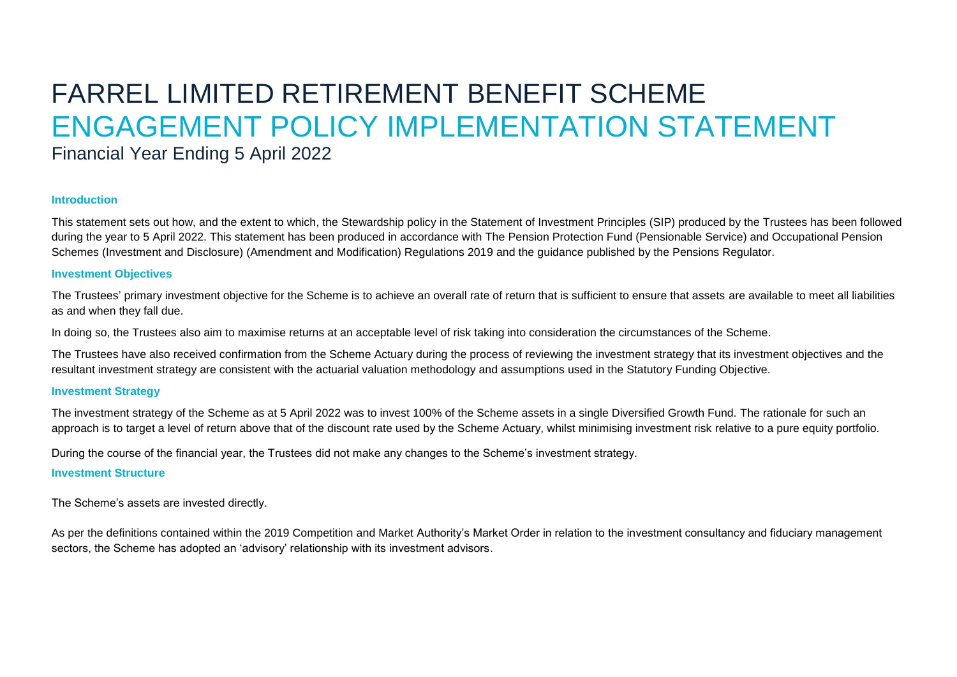# FARREL LIMITED RETIREMENT BENEFIT SCHEME ENGAGEMENT POLICY IMPLEMENTATION STATEMENT

# Financial Year Ending 5 April 2022

## **Introduction**

This statement sets out how, and the extent to which, the Stewardship policy in the Statement of Investment Principles (SIP) produced by the Trustees has been followed during the year to 5 April 2022. This statement has been produced in accordance with The Pension Protection Fund (Pensionable Service) and Occupational Pension Schemes (Investment and Disclosure) (Amendment and Modification) Regulations 2019 and the guidance published by the Pensions Regulator.

#### **Investment Objectives**

The Trustees' primary investment objective for the Scheme is to achieve an overall rate of return that is sufficient to ensure that assets are available to meet all liabilities as and when they fall due.

In doing so, the Trustees also aim to maximise returns at an acceptable level of risk taking into consideration the circumstances of the Scheme.

The Trustees have also received confirmation from the Scheme Actuary during the process of reviewing the investment strategy that its investment objectives and the resultant investment strategy are consistent with the actuarial valuation methodology and assumptions used in the Statutory Funding Objective.

## **Investment Strategy**

The investment strategy of the Scheme as at 5 April 2022 was to invest 100% of the Scheme assets in a single Diversified Growth Fund. The rationale for such an approach is to target a level of return above that of the discount rate used by the Scheme Actuary, whilst minimising investment risk relative to a pure equity portfolio.

During the course of the financial year, the Trustees did not make any changes to the Scheme's investment strategy.

# **Investment Structure**

The Scheme's assets are invested directly.

As per the definitions contained within the 2019 Competition and Market Authority's Market Order in relation to the investment consultancy and fiduciary management sectors, the Scheme has adopted an 'advisory' relationship with its investment advisors.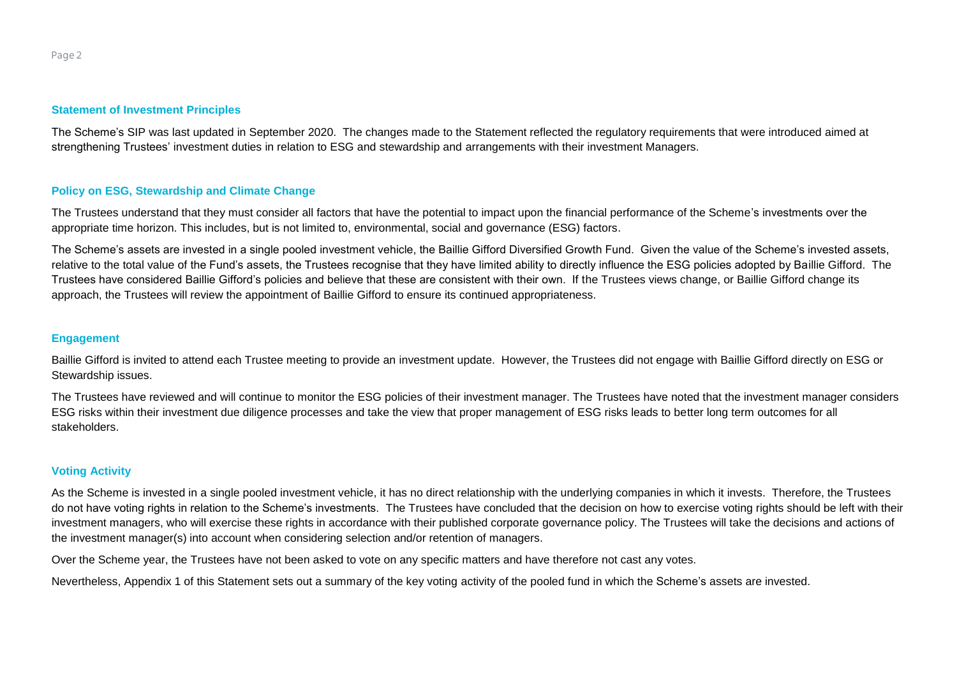#### **Statement of Investment Principles**

The Scheme's SIP was last updated in September 2020. The changes made to the Statement reflected the regulatory requirements that were introduced aimed at strengthening Trustees' investment duties in relation to ESG and stewardship and arrangements with their investment Managers.

#### **Policy on ESG, Stewardship and Climate Change**

The Trustees understand that they must consider all factors that have the potential to impact upon the financial performance of the Scheme's investments over the appropriate time horizon. This includes, but is not limited to, environmental, social and governance (ESG) factors.

The Scheme's assets are invested in a single pooled investment vehicle, the Baillie Gifford Diversified Growth Fund. Given the value of the Scheme's invested assets, relative to the total value of the Fund's assets, the Trustees recognise that they have limited ability to directly influence the ESG policies adopted by Baillie Gifford. The Trustees have considered Baillie Gifford's policies and believe that these are consistent with their own. If the Trustees views change, or Baillie Gifford change its approach, the Trustees will review the appointment of Baillie Gifford to ensure its continued appropriateness.

#### **Engagement**

Baillie Gifford is invited to attend each Trustee meeting to provide an investment update. However, the Trustees did not engage with Baillie Gifford directly on ESG or Stewardship issues.

The Trustees have reviewed and will continue to monitor the ESG policies of their investment manager. The Trustees have noted that the investment manager considers ESG risks within their investment due diligence processes and take the view that proper management of ESG risks leads to better long term outcomes for all stakeholders.

#### **Voting Activity**

As the Scheme is invested in a single pooled investment vehicle, it has no direct relationship with the underlying companies in which it invests. Therefore, the Trustees do not have voting rights in relation to the Scheme's investments. The Trustees have concluded that the decision on how to exercise voting rights should be left with their investment managers, who will exercise these rights in accordance with their published corporate governance policy. The Trustees will take the decisions and actions of the investment manager(s) into account when considering selection and/or retention of managers.

Over the Scheme year, the Trustees have not been asked to vote on any specific matters and have therefore not cast any votes.

Nevertheless, Appendix 1 of this Statement sets out a summary of the key voting activity of the pooled fund in which the Scheme's assets are invested.